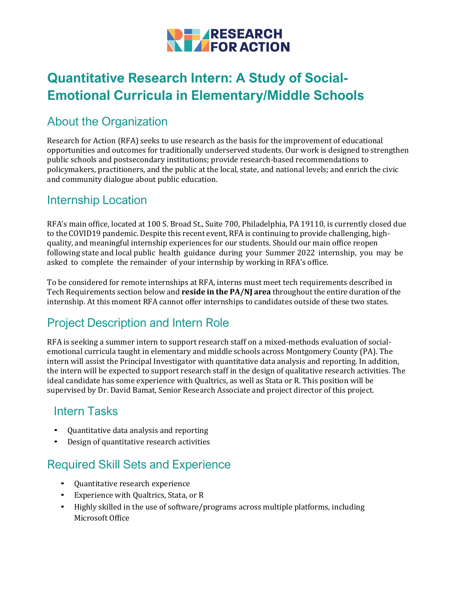

# **Quantitative Research Intern: A Study of Social-Emotional Curricula in Elementary/Middle Schools**

# About the Organization

Research for Action (RFA) seeks to use research as the basis for the improvement of educational opportunities and outcomes for traditionally underserved students. Our work is designed to strengthen public schools and postsecondary institutions; provide research-based recommendations to policymakers, practitioners, and the public at the local, state, and national levels; and enrich the civic and community dialogue about public education.

#### Internship Location

RFA's main office, located at 100 S. Broad St., Suite 700, Philadelphia, PA 19110, is currently closed due to the COVID19 pandemic. Despite this recent event, RFA is continuing to provide challenging, highquality, and meaningful internship experiences for our students. Should our main office reopen following state and local public health guidance during your Summer 2022 internship, you may be asked to complete the remainder of your internship by working in RFA's office.

To be considered for remote internships at RFA, interns must meet tech requirements described in Tech Requirements section below and **reside in the PA/NJ area** throughout the entire duration of the internship. At this moment RFA cannot offer internships to candidates outside of these two states.

#### Project Description and Intern Role

RFA is seeking a summer intern to support research staff on a mixed-methods evaluation of socialemotional curricula taught in elementary and middle schools across Montgomery County (PA). The intern will assist the Principal Investigator with quantitative data analysis and reporting. In addition, the intern will be expected to support research staff in the design of qualitative research activities. The ideal candidate has some experience with Qualtrics, as well as Stata or R. This position will be supervised by Dr. David Bamat, Senior Research Associate and project director of this project.

#### Intern Tasks

- Quantitative data analysis and reporting
- Design of quantitative research activities

## Required Skill Sets and Experience

- Quantitative research experience
- Experience with Qualtrics, Stata, or R
- Highly skilled in the use of software/programs across multiple platforms, including Microsoft Office